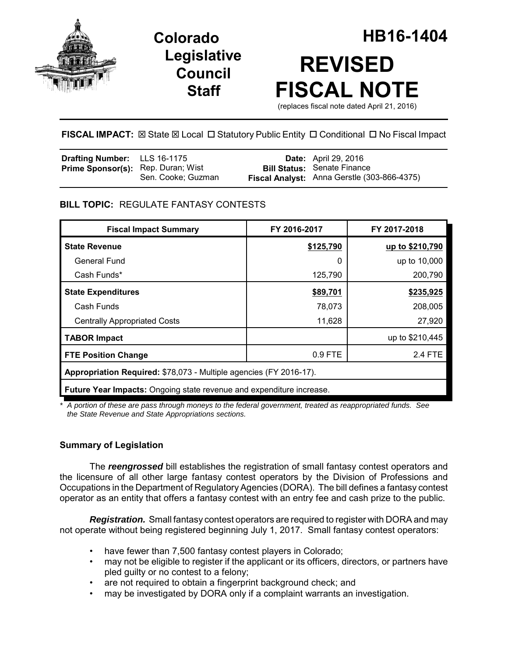





# **FISCAL IMPACT:**  $\boxtimes$  **State**  $\boxtimes$  **Local □ Statutory Public Entity □ Conditional □ No Fiscal Impact**

| <b>Drafting Number:</b> LLS 16-1175       |                    | <b>Date:</b> April 29, 2016                                                       |
|-------------------------------------------|--------------------|-----------------------------------------------------------------------------------|
| <b>Prime Sponsor(s):</b> Rep. Duran; Wist | Sen. Cooke; Guzman | <b>Bill Status: Senate Finance</b><br>Fiscal Analyst: Anna Gerstle (303-866-4375) |

# **BILL TOPIC:** REGULATE FANTASY CONTESTS

| <b>Fiscal Impact Summary</b>                                                | FY 2016-2017 | FY 2017-2018    |  |  |
|-----------------------------------------------------------------------------|--------------|-----------------|--|--|
| <b>State Revenue</b>                                                        | \$125,790    | up to \$210,790 |  |  |
| General Fund                                                                | 0            | up to 10,000    |  |  |
| Cash Funds*                                                                 | 125,790      | 200,790         |  |  |
| <b>State Expenditures</b>                                                   | \$89,701     | \$235,925       |  |  |
| Cash Funds                                                                  | 78,073       | 208,005         |  |  |
| <b>Centrally Appropriated Costs</b>                                         | 11,628       | 27,920          |  |  |
| <b>TABOR Impact</b>                                                         |              | up to \$210,445 |  |  |
| <b>FTE Position Change</b>                                                  | 0.9 FTE      | 2.4 FTE         |  |  |
| Appropriation Required: \$78,073 - Multiple agencies (FY 2016-17).          |              |                 |  |  |
| <b>Future Year Impacts:</b> Ongoing state revenue and expenditure increase. |              |                 |  |  |

*\* A portion of these are pass through moneys to the federal government, treated as reappropriated funds. See the State Revenue and State Appropriations sections.*

## **Summary of Legislation**

The *reengrossed* bill establishes the registration of small fantasy contest operators and the licensure of all other large fantasy contest operators by the Division of Professions and Occupations in the Department of Regulatory Agencies (DORA). The bill defines a fantasy contest operator as an entity that offers a fantasy contest with an entry fee and cash prize to the public.

*Registration.* Small fantasy contest operators are required to register with DORA and may not operate without being registered beginning July 1, 2017. Small fantasy contest operators:

- have fewer than 7,500 fantasy contest players in Colorado;
- may not be eligible to register if the applicant or its officers, directors, or partners have pled guilty or no contest to a felony;
- are not required to obtain a fingerprint background check; and
- may be investigated by DORA only if a complaint warrants an investigation.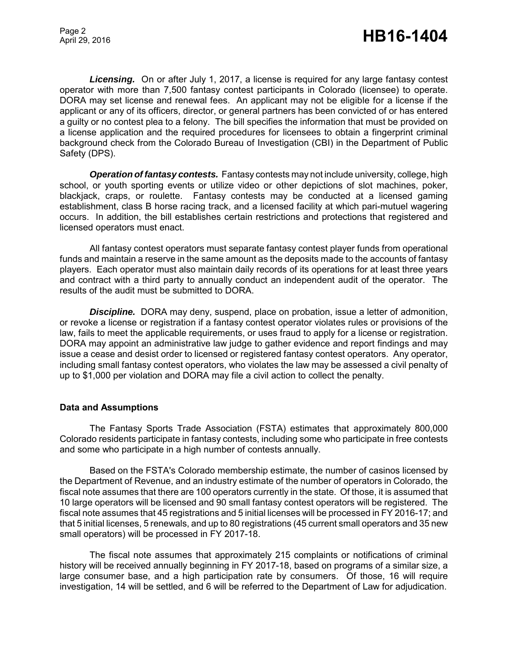*Licensing.* On or after July 1, 2017, a license is required for any large fantasy contest operator with more than 7,500 fantasy contest participants in Colorado (licensee) to operate. DORA may set license and renewal fees. An applicant may not be eligible for a license if the applicant or any of its officers, director, or general partners has been convicted of or has entered a guilty or no contest plea to a felony. The bill specifies the information that must be provided on a license application and the required procedures for licensees to obtain a fingerprint criminal background check from the Colorado Bureau of Investigation (CBI) in the Department of Public Safety (DPS).

*Operation of fantasy contests.* Fantasy contests may not include university, college, high school, or youth sporting events or utilize video or other depictions of slot machines, poker, blackjack, craps, or roulette. Fantasy contests may be conducted at a licensed gaming establishment, class B horse racing track, and a licensed facility at which pari-mutuel wagering occurs. In addition, the bill establishes certain restrictions and protections that registered and licensed operators must enact.

All fantasy contest operators must separate fantasy contest player funds from operational funds and maintain a reserve in the same amount as the deposits made to the accounts of fantasy players. Each operator must also maintain daily records of its operations for at least three years and contract with a third party to annually conduct an independent audit of the operator. The results of the audit must be submitted to DORA.

**Discipline.** DORA may deny, suspend, place on probation, issue a letter of admonition, or revoke a license or registration if a fantasy contest operator violates rules or provisions of the law, fails to meet the applicable requirements, or uses fraud to apply for a license or registration. DORA may appoint an administrative law judge to gather evidence and report findings and may issue a cease and desist order to licensed or registered fantasy contest operators. Any operator, including small fantasy contest operators, who violates the law may be assessed a civil penalty of up to \$1,000 per violation and DORA may file a civil action to collect the penalty.

#### **Data and Assumptions**

The Fantasy Sports Trade Association (FSTA) estimates that approximately 800,000 Colorado residents participate in fantasy contests, including some who participate in free contests and some who participate in a high number of contests annually.

Based on the FSTA's Colorado membership estimate, the number of casinos licensed by the Department of Revenue, and an industry estimate of the number of operators in Colorado, the fiscal note assumes that there are 100 operators currently in the state. Of those, it is assumed that 10 large operators will be licensed and 90 small fantasy contest operators will be registered. The fiscal note assumes that 45 registrations and 5 initial licenses will be processed in FY 2016-17; and that 5 initial licenses, 5 renewals, and up to 80 registrations (45 current small operators and 35 new small operators) will be processed in FY 2017-18.

The fiscal note assumes that approximately 215 complaints or notifications of criminal history will be received annually beginning in FY 2017-18, based on programs of a similar size, a large consumer base, and a high participation rate by consumers. Of those, 16 will require investigation, 14 will be settled, and 6 will be referred to the Department of Law for adjudication.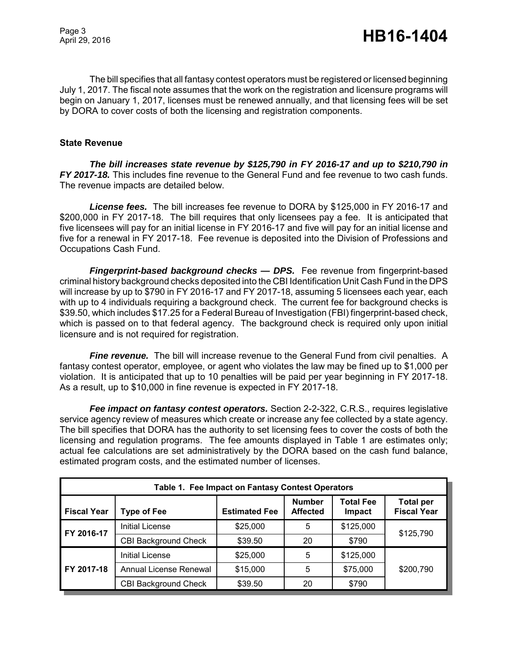The bill specifies that all fantasy contest operators must be registered or licensed beginning July 1, 2017. The fiscal note assumes that the work on the registration and licensure programs will begin on January 1, 2017, licenses must be renewed annually, and that licensing fees will be set by DORA to cover costs of both the licensing and registration components.

## **State Revenue**

*The bill increases state revenue by \$125,790 in FY 2016-17 and up to \$210,790 in FY 2017-18.* This includes fine revenue to the General Fund and fee revenue to two cash funds. The revenue impacts are detailed below.

*License fees.* The bill increases fee revenue to DORA by \$125,000 in FY 2016-17 and \$200,000 in FY 2017-18. The bill requires that only licensees pay a fee. It is anticipated that five licensees will pay for an initial license in FY 2016-17 and five will pay for an initial license and five for a renewal in FY 2017-18. Fee revenue is deposited into the Division of Professions and Occupations Cash Fund.

*Fingerprint-based background checks — DPS.* Fee revenue from fingerprint-based criminal history background checks deposited into the CBI Identification Unit Cash Fund in the DPS will increase by up to \$790 in FY 2016-17 and FY 2017-18, assuming 5 licensees each year, each with up to 4 individuals requiring a background check. The current fee for background checks is \$39.50, which includes \$17.25 for a Federal Bureau of Investigation (FBI) fingerprint-based check, which is passed on to that federal agency. The background check is required only upon initial licensure and is not required for registration.

**Fine revenue.** The bill will increase revenue to the General Fund from civil penalties. A fantasy contest operator, employee, or agent who violates the law may be fined up to \$1,000 per violation. It is anticipated that up to 10 penalties will be paid per year beginning in FY 2017-18. As a result, up to \$10,000 in fine revenue is expected in FY 2017-18.

**Fee impact on fantasy contest operators.** Section 2-2-322, C.R.S., requires legislative service agency review of measures which create or increase any fee collected by a state agency. The bill specifies that DORA has the authority to set licensing fees to cover the costs of both the licensing and regulation programs. The fee amounts displayed in Table 1 are estimates only; actual fee calculations are set administratively by the DORA based on the cash fund balance, estimated program costs, and the estimated number of licenses.

| Table 1. Fee Impact on Fantasy Contest Operators |                             |                      |                                  |                            |                                        |
|--------------------------------------------------|-----------------------------|----------------------|----------------------------------|----------------------------|----------------------------------------|
| <b>Fiscal Year</b>                               | <b>Type of Fee</b>          | <b>Estimated Fee</b> | <b>Number</b><br><b>Affected</b> | <b>Total Fee</b><br>Impact | <b>Total per</b><br><b>Fiscal Year</b> |
| FY 2016-17                                       | <b>Initial License</b>      | \$25,000             | 5                                | \$125,000                  | \$125,790                              |
|                                                  | <b>CBI Background Check</b> | \$39.50              | 20                               | \$790                      |                                        |
| FY 2017-18                                       | Initial License             | \$25,000             | 5                                | \$125,000                  | \$200,790                              |
|                                                  | Annual License Renewal      | \$15,000             | 5                                | \$75,000                   |                                        |
|                                                  | <b>CBI Background Check</b> | \$39.50              | 20                               | \$790                      |                                        |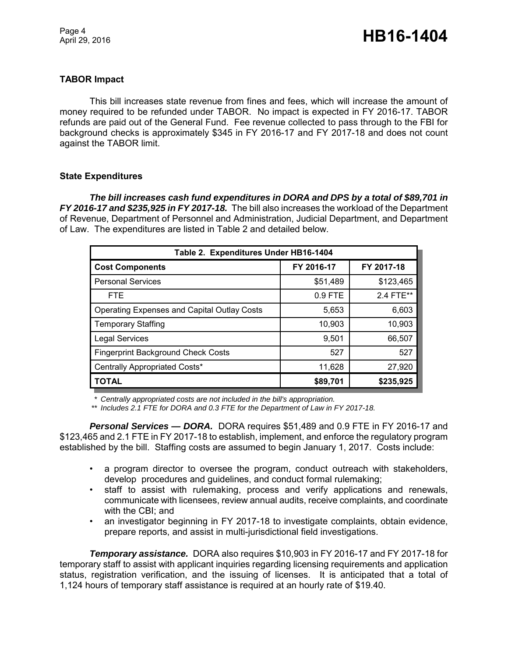# **TABOR Impact**

This bill increases state revenue from fines and fees, which will increase the amount of money required to be refunded under TABOR. No impact is expected in FY 2016-17. TABOR refunds are paid out of the General Fund. Fee revenue collected to pass through to the FBI for background checks is approximately \$345 in FY 2016-17 and FY 2017-18 and does not count against the TABOR limit.

### **State Expenditures**

*The bill increases cash fund expenditures in DORA and DPS by a total of \$89,701 in FY 2016-17 and \$235,925 in FY 2017-18.* The bill also increases the workload of the Department of Revenue, Department of Personnel and Administration, Judicial Department, and Department of Law. The expenditures are listed in Table 2 and detailed below.

| Table 2. Expenditures Under HB16-1404              |            |            |  |  |
|----------------------------------------------------|------------|------------|--|--|
| <b>Cost Components</b>                             | FY 2016-17 | FY 2017-18 |  |  |
| <b>Personal Services</b>                           | \$51,489   | \$123,465  |  |  |
| <b>FTE</b>                                         | $0.9$ FTE  | 2.4 FTE**  |  |  |
| <b>Operating Expenses and Capital Outlay Costs</b> | 5,653      | 6,603      |  |  |
| <b>Temporary Staffing</b>                          | 10,903     | 10,903     |  |  |
| <b>Legal Services</b>                              | 9,501      | 66,507     |  |  |
| <b>Fingerprint Background Check Costs</b>          | 527        | 527        |  |  |
| Centrally Appropriated Costs*                      | 11,628     | 27,920     |  |  |
| <b>TOTAL</b>                                       | \$89,701   | \$235,925  |  |  |

*\* Centrally appropriated costs are not included in the bill's appropriation.*

*\*\* Includes 2.1 FTE for DORA and 0.3 FTE for the Department of Law in FY 2017-18.*

*Personal Services — DORA.* DORA requires \$51,489 and 0.9 FTE in FY 2016-17 and \$123,465 and 2.1 FTE in FY 2017-18 to establish, implement, and enforce the regulatory program established by the bill. Staffing costs are assumed to begin January 1, 2017. Costs include:

- a program director to oversee the program, conduct outreach with stakeholders, develop procedures and guidelines, and conduct formal rulemaking;
- staff to assist with rulemaking, process and verify applications and renewals, communicate with licensees, review annual audits, receive complaints, and coordinate with the CBI; and
- an investigator beginning in FY 2017-18 to investigate complaints, obtain evidence, prepare reports, and assist in multi-jurisdictional field investigations.

*Temporary assistance.* DORA also requires \$10,903 in FY 2016-17 and FY 2017-18 for temporary staff to assist with applicant inquiries regarding licensing requirements and application status, registration verification, and the issuing of licenses. It is anticipated that a total of 1,124 hours of temporary staff assistance is required at an hourly rate of \$19.40.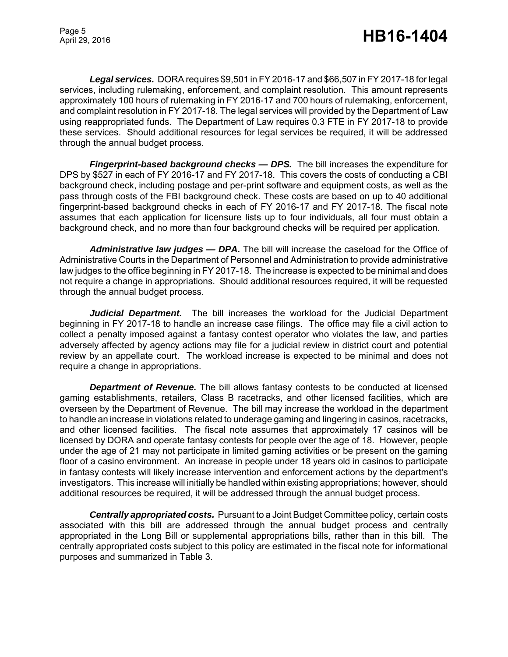*Legal services.* DORA requires \$9,501 in FY 2016-17 and \$66,507 in FY 2017-18 for legal services, including rulemaking, enforcement, and complaint resolution. This amount represents approximately 100 hours of rulemaking in FY 2016-17 and 700 hours of rulemaking, enforcement, and complaint resolution in FY 2017-18. The legal services will provided by the Department of Law using reappropriated funds. The Department of Law requires 0.3 FTE in FY 2017-18 to provide these services. Should additional resources for legal services be required, it will be addressed through the annual budget process.

*Fingerprint-based background checks — DPS.* The bill increases the expenditure for DPS by \$527 in each of FY 2016-17 and FY 2017-18. This covers the costs of conducting a CBI background check, including postage and per-print software and equipment costs, as well as the pass through costs of the FBI background check. These costs are based on up to 40 additional fingerprint-based background checks in each of FY 2016-17 and FY 2017-18. The fiscal note assumes that each application for licensure lists up to four individuals, all four must obtain a background check, and no more than four background checks will be required per application.

Administrative law judges - DPA. The bill will increase the caseload for the Office of Administrative Courts in the Department of Personnel and Administration to provide administrative law judges to the office beginning in FY 2017-18. The increase is expected to be minimal and does not require a change in appropriations. Should additional resources required, it will be requested through the annual budget process.

*Judicial Department.* The bill increases the workload for the Judicial Department beginning in FY 2017-18 to handle an increase case filings. The office may file a civil action to collect a penalty imposed against a fantasy contest operator who violates the law, and parties adversely affected by agency actions may file for a judicial review in district court and potential review by an appellate court. The workload increase is expected to be minimal and does not require a change in appropriations.

*Department of Revenue.* The bill allows fantasy contests to be conducted at licensed gaming establishments, retailers, Class B racetracks, and other licensed facilities, which are overseen by the Department of Revenue. The bill may increase the workload in the department to handle an increase in violations related to underage gaming and lingering in casinos, racetracks, and other licensed facilities. The fiscal note assumes that approximately 17 casinos will be licensed by DORA and operate fantasy contests for people over the age of 18. However, people under the age of 21 may not participate in limited gaming activities or be present on the gaming floor of a casino environment. An increase in people under 18 years old in casinos to participate in fantasy contests will likely increase intervention and enforcement actions by the department's investigators. This increase will initially be handled within existing appropriations; however, should additional resources be required, it will be addressed through the annual budget process.

*Centrally appropriated costs.* Pursuant to a Joint Budget Committee policy, certain costs associated with this bill are addressed through the annual budget process and centrally appropriated in the Long Bill or supplemental appropriations bills, rather than in this bill. The centrally appropriated costs subject to this policy are estimated in the fiscal note for informational purposes and summarized in Table 3.